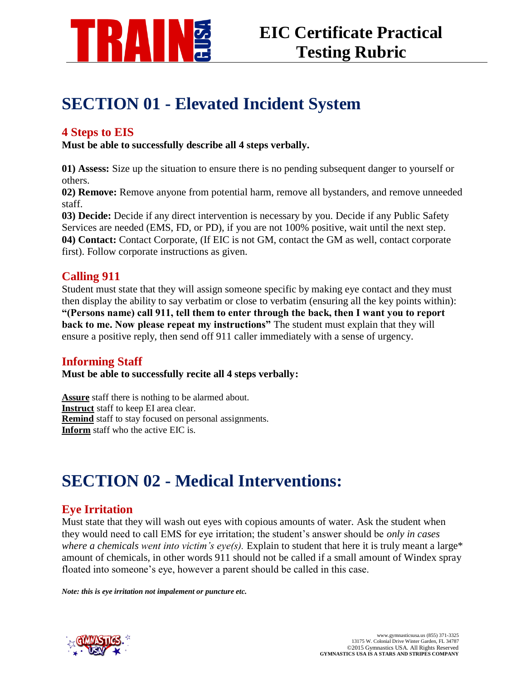

# **SECTION 01 - Elevated Incident System**

### **4 Steps to EIS**

**Must be able to successfully describe all 4 steps verbally.**

**01) Assess:** Size up the situation to ensure there is no pending subsequent danger to yourself or others.

**02) Remove:** Remove anyone from potential harm, remove all bystanders, and remove unneeded staff.

**03) Decide:** Decide if any direct intervention is necessary by you. Decide if any Public Safety Services are needed (EMS, FD, or PD), if you are not 100% positive, wait until the next step. **04) Contact:** Contact Corporate, (If EIC is not GM, contact the GM as well, contact corporate first). Follow corporate instructions as given.

## **Calling 911**

Student must state that they will assign someone specific by making eye contact and they must then display the ability to say verbatim or close to verbatim (ensuring all the key points within): **"(Persons name) call 911, tell them to enter through the back, then I want you to report back to me. Now please repeat my instructions"** The student must explain that they will ensure a positive reply, then send off 911 caller immediately with a sense of urgency.

## **Informing Staff**

**Must be able to successfully recite all 4 steps verbally:**

**Assure** staff there is nothing to be alarmed about. **Instruct** staff to keep EI area clear. **Remind** staff to stay focused on personal assignments. **Inform** staff who the active EIC is.

# **SECTION 02 - Medical Interventions:**

## **Eye Irritation**

Must state that they will wash out eyes with copious amounts of water. Ask the student when they would need to call EMS for eye irritation; the student's answer should be *only in cases where a chemicals went into victim's eye(s).* Explain to student that here it is truly meant a large\* amount of chemicals, in other words 911 should not be called if a small amount of Windex spray floated into someone's eye, however a parent should be called in this case.

*Note: this is eye irritation not impalement or puncture etc.*

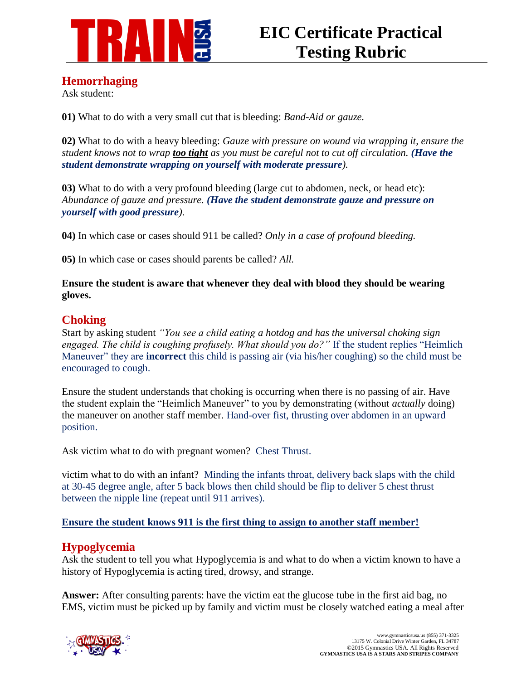

### **Hemorrhaging**

Ask student:

**01)** What to do with a very small cut that is bleeding: *Band-Aid or gauze.*

**02)** What to do with a heavy bleeding: *Gauze with pressure on wound via wrapping it, ensure the student knows not to wrap too tight as you must be careful not to cut off circulation. (Have the student demonstrate wrapping on yourself with moderate pressure).*

**03)** What to do with a very profound bleeding (large cut to abdomen, neck, or head etc): *Abundance of gauze and pressure. (Have the student demonstrate gauze and pressure on yourself with good pressure).*

**04)** In which case or cases should 911 be called? *Only in a case of profound bleeding.*

**05)** In which case or cases should parents be called? *All.*

**Ensure the student is aware that whenever they deal with blood they should be wearing gloves.**

## **Choking**

Start by asking student *"You see a child eating a hotdog and has the universal choking sign engaged. The child is coughing profusely. What should you do?"* If the student replies "Heimlich Maneuver" they are **incorrect** this child is passing air (via his/her coughing) so the child must be encouraged to cough.

Ensure the student understands that choking is occurring when there is no passing of air. Have the student explain the "Heimlich Maneuver" to you by demonstrating (without *actually* doing) the maneuver on another staff member. Hand-over fist, thrusting over abdomen in an upward position.

Ask victim what to do with pregnant women?Chest Thrust.

victim what to do with an infant?Minding the infants throat, delivery back slaps with the child at 30-45 degree angle, after 5 back blows then child should be flip to deliver 5 chest thrust between the nipple line (repeat until 911 arrives).

### **Ensure the student knows 911 is the first thing to assign to another staff member!**

## **Hypoglycemia**

Ask the student to tell you what Hypoglycemia is and what to do when a victim known to have a history of Hypoglycemia is acting tired, drowsy, and strange.

**Answer:** After consulting parents: have the victim eat the glucose tube in the first aid bag, no EMS, victim must be picked up by family and victim must be closely watched eating a meal after

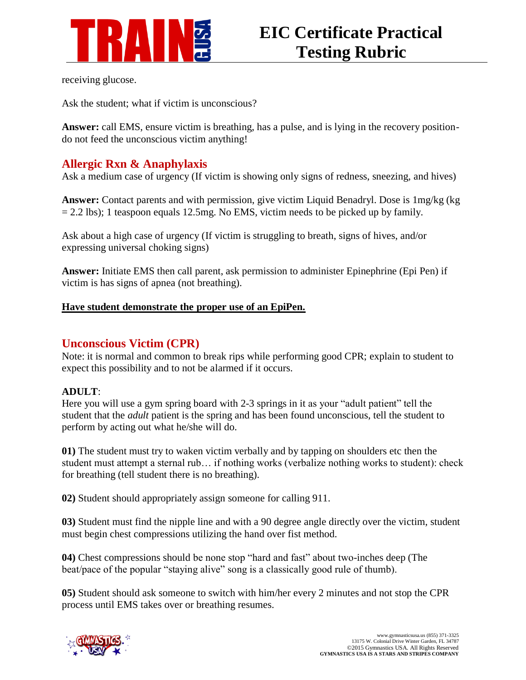

receiving glucose.

Ask the student; what if victim is unconscious?

**Answer:** call EMS, ensure victim is breathing, has a pulse, and is lying in the recovery positiondo not feed the unconscious victim anything!

## **Allergic Rxn & Anaphylaxis**

Ask a medium case of urgency (If victim is showing only signs of redness, sneezing, and hives)

**Answer:** Contact parents and with permission, give victim Liquid Benadryl. Dose is 1mg/kg (kg  $= 2.2$  lbs); 1 teaspoon equals 12.5mg. No EMS, victim needs to be picked up by family.

Ask about a high case of urgency (If victim is struggling to breath, signs of hives, and/or expressing universal choking signs)

**Answer:** Initiate EMS then call parent, ask permission to administer Epinephrine (Epi Pen) if victim is has signs of apnea (not breathing).

### **Have student demonstrate the proper use of an EpiPen.**

## **Unconscious Victim (CPR)**

Note: it is normal and common to break rips while performing good CPR; explain to student to expect this possibility and to not be alarmed if it occurs.

### **ADULT**:

Here you will use a gym spring board with 2-3 springs in it as your "adult patient" tell the student that the *adult* patient is the spring and has been found unconscious, tell the student to perform by acting out what he/she will do.

**01)** The student must try to waken victim verbally and by tapping on shoulders etc then the student must attempt a sternal rub… if nothing works (verbalize nothing works to student): check for breathing (tell student there is no breathing).

**02)** Student should appropriately assign someone for calling 911.

**03)** Student must find the nipple line and with a 90 degree angle directly over the victim, student must begin chest compressions utilizing the hand over fist method.

**04)** Chest compressions should be none stop "hard and fast" about two-inches deep (The beat/pace of the popular "staying alive" song is a classically good rule of thumb).

**05)** Student should ask someone to switch with him/her every 2 minutes and not stop the CPR process until EMS takes over or breathing resumes.

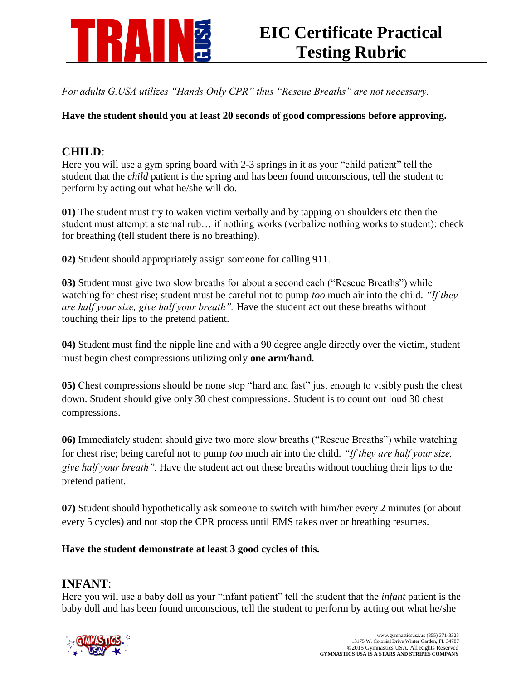

*For adults G.USA utilizes "Hands Only CPR" thus "Rescue Breaths" are not necessary.* 

**Have the student should you at least 20 seconds of good compressions before approving.** 

# **CHILD**:

Here you will use a gym spring board with 2-3 springs in it as your "child patient" tell the student that the *child* patient is the spring and has been found unconscious, tell the student to perform by acting out what he/she will do.

**01)** The student must try to waken victim verbally and by tapping on shoulders etc then the student must attempt a sternal rub… if nothing works (verbalize nothing works to student): check for breathing (tell student there is no breathing).

**02)** Student should appropriately assign someone for calling 911.

**03)** Student must give two slow breaths for about a second each ("Rescue Breaths") while watching for chest rise; student must be careful not to pump *too* much air into the child. *"If they are half your size, give half your breath".* Have the student act out these breaths without touching their lips to the pretend patient.

**04)** Student must find the nipple line and with a 90 degree angle directly over the victim, student must begin chest compressions utilizing only **one arm/hand**.

**05)** Chest compressions should be none stop "hard and fast" just enough to visibly push the chest down. Student should give only 30 chest compressions. Student is to count out loud 30 chest compressions.

**06)** Immediately student should give two more slow breaths ("Rescue Breaths") while watching for chest rise; being careful not to pump *too* much air into the child. *"If they are half your size, give half your breath".* Have the student act out these breaths without touching their lips to the pretend patient.

**07)** Student should hypothetically ask someone to switch with him/her every 2 minutes (or about every 5 cycles) and not stop the CPR process until EMS takes over or breathing resumes.

**Have the student demonstrate at least 3 good cycles of this.**

### **INFANT**:

Here you will use a baby doll as your "infant patient" tell the student that the *infant* patient is the baby doll and has been found unconscious, tell the student to perform by acting out what he/she

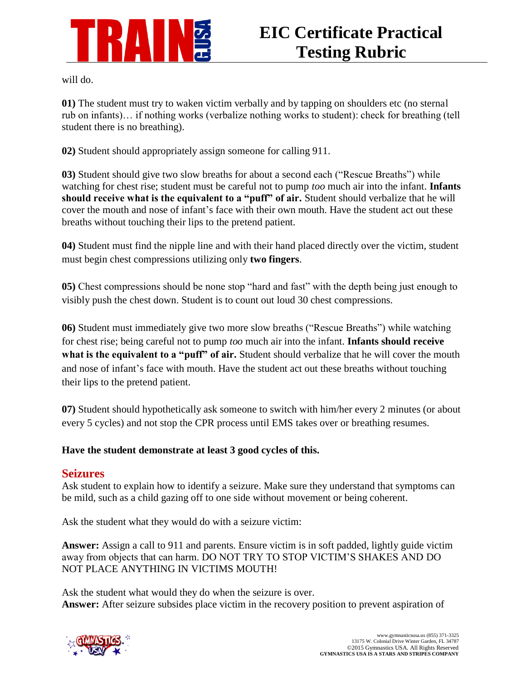

will do.

**01)** The student must try to waken victim verbally and by tapping on shoulders etc (no sternal rub on infants)… if nothing works (verbalize nothing works to student): check for breathing (tell student there is no breathing).

**02)** Student should appropriately assign someone for calling 911.

**03)** Student should give two slow breaths for about a second each ("Rescue Breaths") while watching for chest rise; student must be careful not to pump *too* much air into the infant. **Infants should receive what is the equivalent to a "puff" of air.** Student should verbalize that he will cover the mouth and nose of infant's face with their own mouth. Have the student act out these breaths without touching their lips to the pretend patient.

**04)** Student must find the nipple line and with their hand placed directly over the victim, student must begin chest compressions utilizing only **two fingers**.

**05)** Chest compressions should be none stop "hard and fast" with the depth being just enough to visibly push the chest down. Student is to count out loud 30 chest compressions.

**06)** Student must immediately give two more slow breaths ("Rescue Breaths") while watching for chest rise; being careful not to pump *too* much air into the infant. **Infants should receive**  what is the equivalent to a "puff" of air. Student should verbalize that he will cover the mouth and nose of infant's face with mouth. Have the student act out these breaths without touching their lips to the pretend patient.

**07)** Student should hypothetically ask someone to switch with him/her every 2 minutes (or about every 5 cycles) and not stop the CPR process until EMS takes over or breathing resumes.

### **Have the student demonstrate at least 3 good cycles of this.**

### **Seizures**

Ask student to explain how to identify a seizure. Make sure they understand that symptoms can be mild, such as a child gazing off to one side without movement or being coherent.

Ask the student what they would do with a seizure victim:

**Answer:** Assign a call to 911 and parents. Ensure victim is in soft padded, lightly guide victim away from objects that can harm. DO NOT TRY TO STOP VICTIM'S SHAKES AND DO NOT PLACE ANYTHING IN VICTIMS MOUTH!

Ask the student what would they do when the seizure is over. **Answer:** After seizure subsides place victim in the recovery position to prevent aspiration of

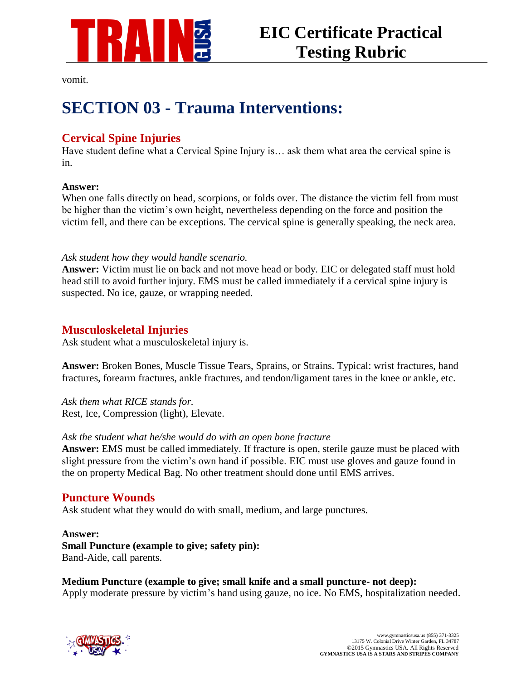

vomit.

# **SECTION 03 - Trauma Interventions:**

# **Cervical Spine Injuries**

Have student define what a Cervical Spine Injury is… ask them what area the cervical spine is in.

### **Answer:**

When one falls directly on head, scorpions, or folds over. The distance the victim fell from must be higher than the victim's own height, nevertheless depending on the force and position the victim fell, and there can be exceptions. The cervical spine is generally speaking, the neck area.

### *Ask student how they would handle scenario.*

**Answer:** Victim must lie on back and not move head or body. EIC or delegated staff must hold head still to avoid further injury. EMS must be called immediately if a cervical spine injury is suspected. No ice, gauze, or wrapping needed.

### **Musculoskeletal Injuries**

Ask student what a musculoskeletal injury is.

**Answer:** Broken Bones, Muscle Tissue Tears, Sprains, or Strains. Typical: wrist fractures, hand fractures, forearm fractures, ankle fractures, and tendon/ligament tares in the knee or ankle, etc.

*Ask them what RICE stands for.* Rest, Ice, Compression (light), Elevate.

### *Ask the student what he/she would do with an open bone fracture*

**Answer:** EMS must be called immediately. If fracture is open, sterile gauze must be placed with slight pressure from the victim's own hand if possible. EIC must use gloves and gauze found in the on property Medical Bag. No other treatment should done until EMS arrives.

## **Puncture Wounds**

Ask student what they would do with small, medium, and large punctures.

**Answer: Small Puncture (example to give; safety pin):** Band-Aide, call parents.

**Medium Puncture (example to give; small knife and a small puncture- not deep):** Apply moderate pressure by victim's hand using gauze, no ice. No EMS, hospitalization needed.

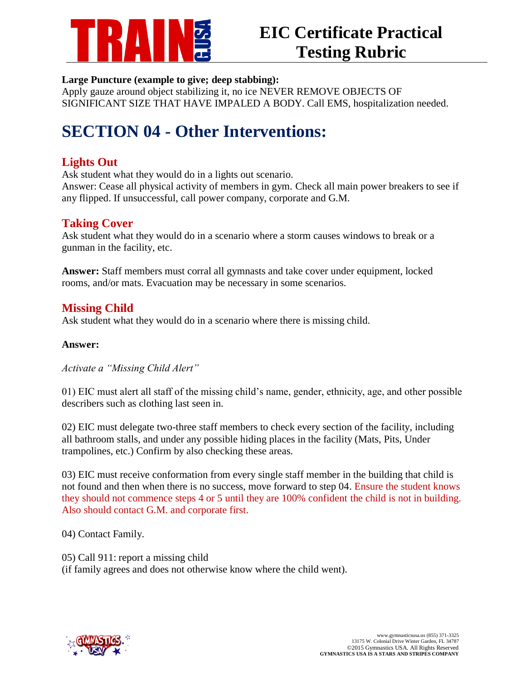

### **Large Puncture (example to give; deep stabbing):**

Apply gauze around object stabilizing it, no ice NEVER REMOVE OBJECTS OF SIGNIFICANT SIZE THAT HAVE IMPALED A BODY. Call EMS, hospitalization needed.

# **SECTION 04 - Other Interventions:**

# **Lights Out**

Ask student what they would do in a lights out scenario.

Answer: Cease all physical activity of members in gym. Check all main power breakers to see if any flipped. If unsuccessful, call power company, corporate and G.M.

## **Taking Cover**

Ask student what they would do in a scenario where a storm causes windows to break or a gunman in the facility, etc.

**Answer:** Staff members must corral all gymnasts and take cover under equipment, locked rooms, and/or mats. Evacuation may be necessary in some scenarios.

## **Missing Child**

Ask student what they would do in a scenario where there is missing child.

### **Answer:**

*Activate a "Missing Child Alert"*

01) EIC must alert all staff of the missing child's name, gender, ethnicity, age, and other possible describers such as clothing last seen in.

02) EIC must delegate two-three staff members to check every section of the facility, including all bathroom stalls, and under any possible hiding places in the facility (Mats, Pits, Under trampolines, etc.) Confirm by also checking these areas.

03) EIC must receive conformation from every single staff member in the building that child is not found and then when there is no success, move forward to step 04. Ensure the student knows they should not commence steps 4 or 5 until they are 100% confident the child is not in building. Also should contact G.M. and corporate first.

04) Contact Family.

05) Call 911: report a missing child (if family agrees and does not otherwise know where the child went).